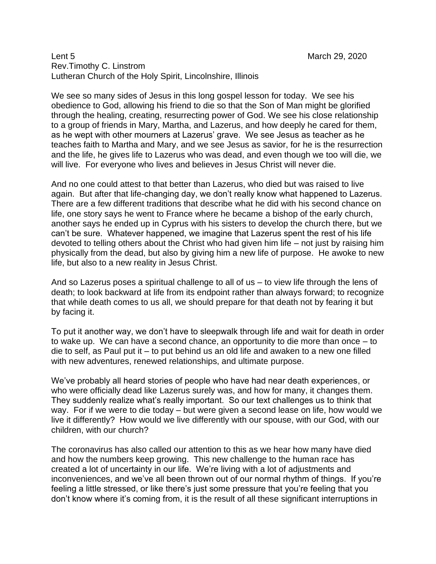## Lent 5 March 29, 2020 Rev.Timothy C. Linstrom Lutheran Church of the Holy Spirit, Lincolnshire, Illinois

We see so many sides of Jesus in this long gospel lesson for today. We see his obedience to God, allowing his friend to die so that the Son of Man might be glorified through the healing, creating, resurrecting power of God. We see his close relationship to a group of friends in Mary, Martha, and Lazerus, and how deeply he cared for them, as he wept with other mourners at Lazerus' grave. We see Jesus as teacher as he teaches faith to Martha and Mary, and we see Jesus as savior, for he is the resurrection and the life, he gives life to Lazerus who was dead, and even though we too will die, we will live. For everyone who lives and believes in Jesus Christ will never die.

And no one could attest to that better than Lazerus, who died but was raised to live again. But after that life-changing day, we don't really know what happened to Lazerus. There are a few different traditions that describe what he did with his second chance on life, one story says he went to France where he became a bishop of the early church, another says he ended up in Cyprus with his sisters to develop the church there, but we can't be sure. Whatever happened, we imagine that Lazerus spent the rest of his life devoted to telling others about the Christ who had given him life – not just by raising him physically from the dead, but also by giving him a new life of purpose. He awoke to new life, but also to a new reality in Jesus Christ.

And so Lazerus poses a spiritual challenge to all of us – to view life through the lens of death; to look backward at life from its endpoint rather than always forward; to recognize that while death comes to us all, we should prepare for that death not by fearing it but by facing it.

To put it another way, we don't have to sleepwalk through life and wait for death in order to wake up. We can have a second chance, an opportunity to die more than once – to die to self, as Paul put it – to put behind us an old life and awaken to a new one filled with new adventures, renewed relationships, and ultimate purpose.

We've probably all heard stories of people who have had near death experiences, or who were officially dead like Lazerus surely was, and how for many, it changes them. They suddenly realize what's really important. So our text challenges us to think that way. For if we were to die today – but were given a second lease on life, how would we live it differently? How would we live differently with our spouse, with our God, with our children, with our church?

The coronavirus has also called our attention to this as we hear how many have died and how the numbers keep growing. This new challenge to the human race has created a lot of uncertainty in our life. We're living with a lot of adjustments and inconveniences, and we've all been thrown out of our normal rhythm of things. If you're feeling a little stressed, or like there's just some pressure that you're feeling that you don't know where it's coming from, it is the result of all these significant interruptions in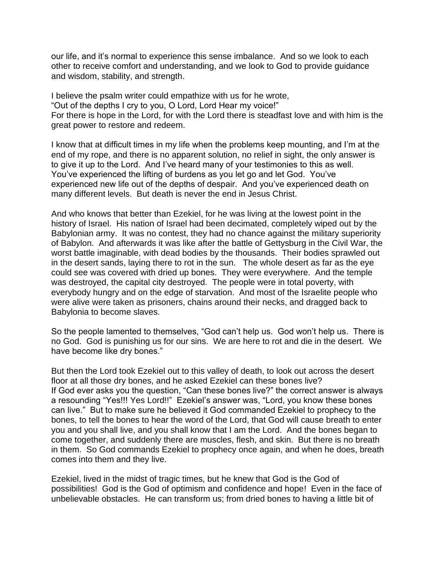our life, and it's normal to experience this sense imbalance. And so we look to each other to receive comfort and understanding, and we look to God to provide guidance and wisdom, stability, and strength.

I believe the psalm writer could empathize with us for he wrote, "Out of the depths I cry to you, O Lord, Lord Hear my voice!" For there is hope in the Lord, for with the Lord there is steadfast love and with him is the great power to restore and redeem.

I know that at difficult times in my life when the problems keep mounting, and I'm at the end of my rope, and there is no apparent solution, no relief in sight, the only answer is to give it up to the Lord. And I've heard many of your testimonies to this as well. You've experienced the lifting of burdens as you let go and let God. You've experienced new life out of the depths of despair. And you've experienced death on many different levels. But death is never the end in Jesus Christ.

And who knows that better than Ezekiel, for he was living at the lowest point in the history of Israel. His nation of Israel had been decimated, completely wiped out by the Babylonian army. It was no contest, they had no chance against the military superiority of Babylon. And afterwards it was like after the battle of Gettysburg in the Civil War, the worst battle imaginable, with dead bodies by the thousands. Their bodies sprawled out in the desert sands, laying there to rot in the sun. The whole desert as far as the eye could see was covered with dried up bones. They were everywhere. And the temple was destroyed, the capital city destroyed. The people were in total poverty, with everybody hungry and on the edge of starvation. And most of the Israelite people who were alive were taken as prisoners, chains around their necks, and dragged back to Babylonia to become slaves.

So the people lamented to themselves, "God can't help us. God won't help us. There is no God. God is punishing us for our sins. We are here to rot and die in the desert. We have become like dry bones."

But then the Lord took Ezekiel out to this valley of death, to look out across the desert floor at all those dry bones, and he asked Ezekiel can these bones live? If God ever asks you the question, "Can these bones live?" the correct answer is always a resounding "Yes!!! Yes Lord!!" Ezekiel's answer was, "Lord, you know these bones can live." But to make sure he believed it God commanded Ezekiel to prophecy to the bones, to tell the bones to hear the word of the Lord, that God will cause breath to enter you and you shall live, and you shall know that I am the Lord. And the bones began to come together, and suddenly there are muscles, flesh, and skin. But there is no breath in them. So God commands Ezekiel to prophecy once again, and when he does, breath comes into them and they live.

Ezekiel, lived in the midst of tragic times, but he knew that God is the God of possibilities! God is the God of optimism and confidence and hope! Even in the face of unbelievable obstacles. He can transform us; from dried bones to having a little bit of